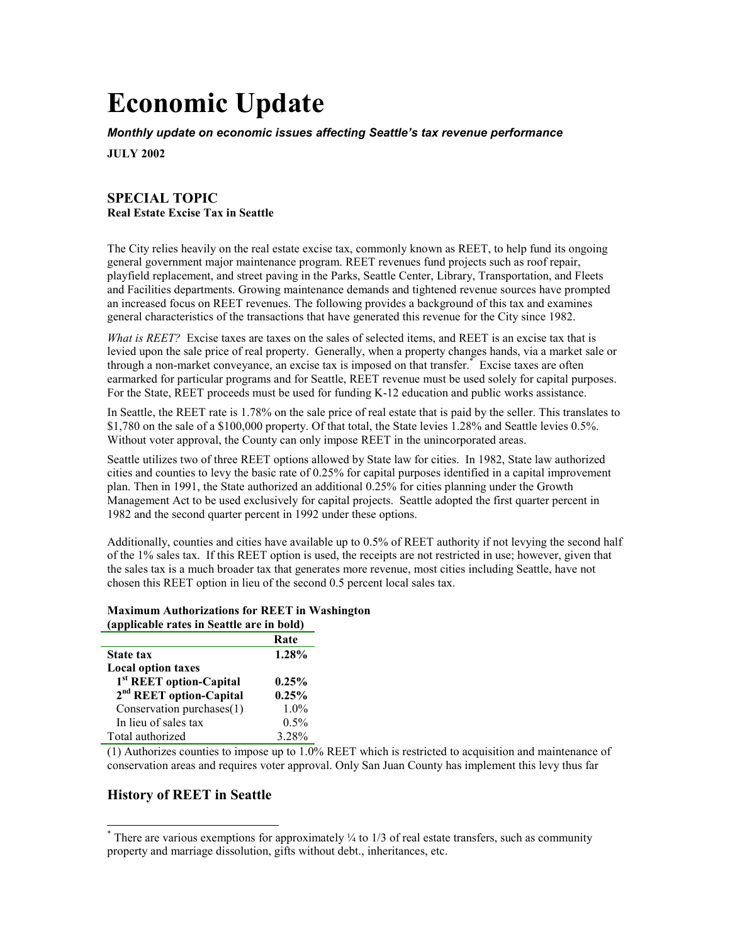# **Economic Update**

*Monthly update on economic issues affecting Seattle's tax revenue performance*

**JULY 2002**

# **SPECIAL TOPIC Real Estate Excise Tax in Seattle**

The City relies heavily on the real estate excise tax, commonly known as REET, to help fund its ongoing general government major maintenance program. REET revenues fund projects such as roof repair, playfield replacement, and street paving in the Parks, Seattle Center, Library, Transportation, and Fleets and Facilities departments. Growing maintenance demands and tightened revenue sources have prompted an increased focus on REET revenues. The following provides a background of this tax and examines general characteristics of the transactions that have generated this revenue for the City since 1982.

*What is REET?* Excise taxes are taxes on the sales of selected items, and REET is an excise tax that is levied upon the sale price of real property. Generally, when a property changes hands, via a market sale or through a non-market conveyance, an excise tax is imposed on that transfer.\* Excise taxes are often earmarked for particular programs and for Seattle, REET revenue must be used solely for capital purposes. For the State, REET proceeds must be used for funding K-12 education and public works assistance.

In Seattle, the REET rate is 1.78% on the sale price of real estate that is paid by the seller. This translates to \$1,780 on the sale of a \$100,000 property. Of that total, the State levies 1.28% and Seattle levies 0.5%. Without voter approval, the County can only impose REET in the unincorporated areas.

Seattle utilizes two of three REET options allowed by State law for cities. In 1982, State law authorized cities and counties to levy the basic rate of 0.25% for capital purposes identified in a capital improvement plan. Then in 1991, the State authorized an additional 0.25% for cities planning under the Growth Management Act to be used exclusively for capital projects. Seattle adopted the first quarter percent in 1982 and the second quarter percent in 1992 under these options.

Additionally, counties and cities have available up to 0.5% of REET authority if not levying the second half of the 1% sales tax. If this REET option is used, the receipts are not restricted in use; however, given that the sales tax is a much broader tax that generates more revenue, most cities including Seattle, have not chosen this REET option in lieu of the second 0.5 percent local sales tax.

#### **Maximum Authorizations for REET in Washington (applicable rates in Seattle are in bold)**

|                                     | Rate     |
|-------------------------------------|----------|
| <b>State tax</b>                    | 1.28%    |
| <b>Local option taxes</b>           |          |
| 1 <sup>st</sup> REET option-Capital | $0.25\%$ |
| 2 <sup>nd</sup> REET option-Capital | 0.25%    |
| Conservation purchases(1)           | $1.0\%$  |
| In lieu of sales tax                | 0.5%     |
| Total authorized                    | 3.28%    |

(1) Authorizes counties to impose up to 1.0% REET which is restricted to acquisition and maintenance of conservation areas and requires voter approval. Only San Juan County has implement this levy thus far

# **History of REET in Seattle**

 $\overline{a}$ 

 $*$  There are various exemptions for approximately  $\frac{1}{4}$  to 1/3 of real estate transfers, such as community property and marriage dissolution, gifts without debt., inheritances, etc.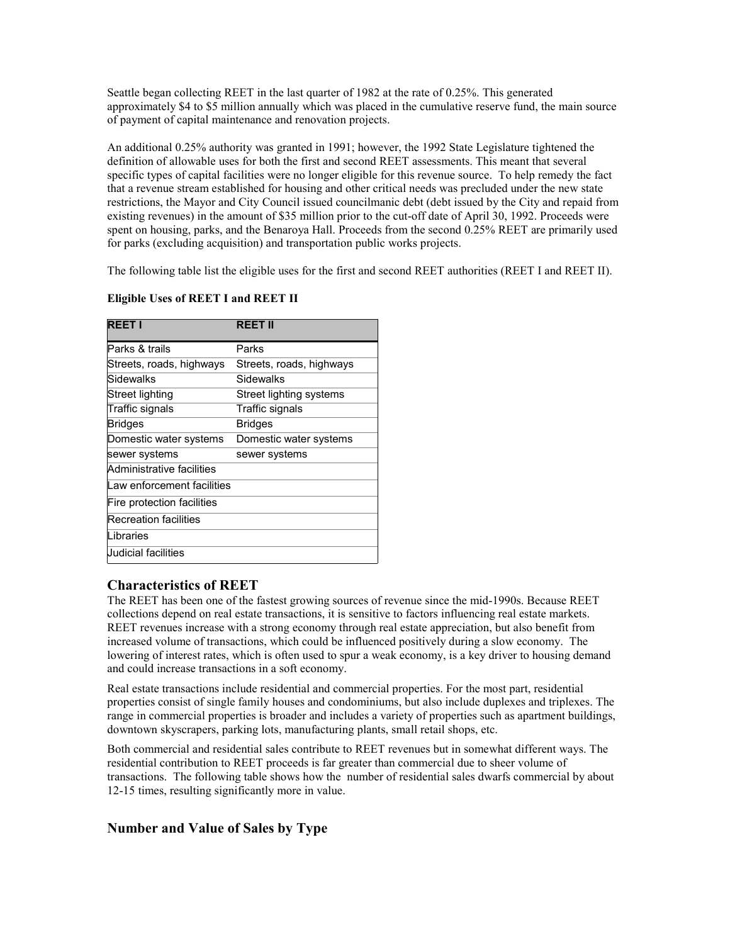Seattle began collecting REET in the last quarter of 1982 at the rate of 0.25%. This generated approximately \$4 to \$5 million annually which was placed in the cumulative reserve fund, the main source of payment of capital maintenance and renovation projects.

An additional 0.25% authority was granted in 1991; however, the 1992 State Legislature tightened the definition of allowable uses for both the first and second REET assessments. This meant that several specific types of capital facilities were no longer eligible for this revenue source. To help remedy the fact that a revenue stream established for housing and other critical needs was precluded under the new state restrictions, the Mayor and City Council issued councilmanic debt (debt issued by the City and repaid from existing revenues) in the amount of \$35 million prior to the cut-off date of April 30, 1992. Proceeds were spent on housing, parks, and the Benaroya Hall. Proceeds from the second 0.25% REET are primarily used for parks (excluding acquisition) and transportation public works projects.

The following table list the eligible uses for the first and second REET authorities (REET I and REET II).

#### **Eligible Uses of REET I and REET II**

| <b>REET I</b>              | <b>REET II</b>           |
|----------------------------|--------------------------|
| Parks & trails             | Parks                    |
| Streets, roads, highways   | Streets, roads, highways |
| Sidewalks                  | Sidewalks                |
| Street lighting            | Street lighting systems  |
| Traffic signals            | Traffic signals          |
| <b>Bridges</b>             | <b>Bridges</b>           |
| Domestic water systems     | Domestic water systems   |
| sewer systems              | sewer systems            |
| Administrative facilities  |                          |
| Law enforcement facilities |                          |
| Fire protection facilities |                          |
| Recreation facilities      |                          |
| Libraries                  |                          |
| Judicial facilities        |                          |

# **Characteristics of REET**

The REET has been one of the fastest growing sources of revenue since the mid-1990s. Because REET collections depend on real estate transactions, it is sensitive to factors influencing real estate markets. REET revenues increase with a strong economy through real estate appreciation, but also benefit from increased volume of transactions, which could be influenced positively during a slow economy. The lowering of interest rates, which is often used to spur a weak economy, is a key driver to housing demand and could increase transactions in a soft economy.

Real estate transactions include residential and commercial properties. For the most part, residential properties consist of single family houses and condominiums, but also include duplexes and triplexes. The range in commercial properties is broader and includes a variety of properties such as apartment buildings, downtown skyscrapers, parking lots, manufacturing plants, small retail shops, etc.

Both commercial and residential sales contribute to REET revenues but in somewhat different ways. The residential contribution to REET proceeds is far greater than commercial due to sheer volume of transactions. The following table shows how the number of residential sales dwarfs commercial by about 12-15 times, resulting significantly more in value.

# **Number and Value of Sales by Type**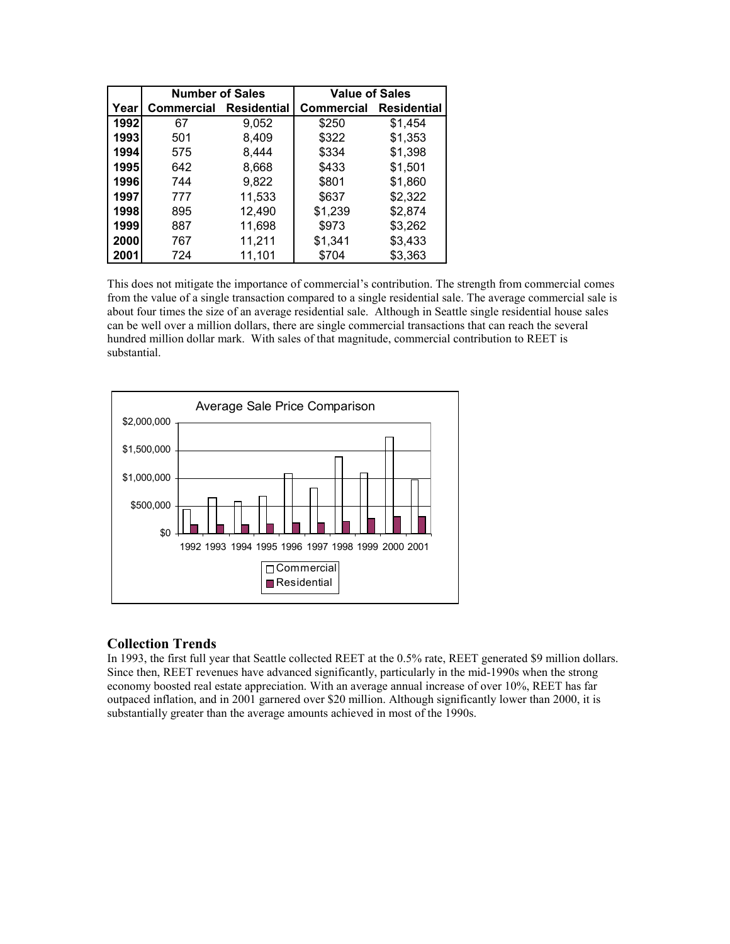|       | <b>Number of Sales</b> |                    | <b>Value of Sales</b> |                    |  |  |
|-------|------------------------|--------------------|-----------------------|--------------------|--|--|
| Year⊺ | Commercial             | <b>Residential</b> | <b>Commercial</b>     | <b>Residential</b> |  |  |
| 1992  | 67                     | 9,052              | \$250                 | \$1,454            |  |  |
| 1993  | 501                    | 8,409              | \$322                 | \$1,353            |  |  |
| 1994  | 575                    | 8,444              | \$334                 | \$1,398            |  |  |
| 1995  | 642                    | 8,668              | \$433                 | \$1,501            |  |  |
| 1996  | 744                    | 9,822              | \$801                 | \$1,860            |  |  |
| 1997  | 777                    | 11,533             | \$637                 | \$2,322            |  |  |
| 1998  | 895                    | 12,490             | \$1,239               | \$2,874            |  |  |
| 1999  | 887                    | 11,698             | \$973                 | \$3,262            |  |  |
| 2000  | 767                    | 11,211             | \$1,341               | \$3,433            |  |  |
| 2001  | 724                    | 11,101             | \$704                 | \$3,363            |  |  |

This does not mitigate the importance of commercial's contribution. The strength from commercial comes from the value of a single transaction compared to a single residential sale. The average commercial sale is about four times the size of an average residential sale. Although in Seattle single residential house sales can be well over a million dollars, there are single commercial transactions that can reach the several hundred million dollar mark. With sales of that magnitude, commercial contribution to REET is substantial.



# **Collection Trends**

In 1993, the first full year that Seattle collected REET at the 0.5% rate, REET generated \$9 million dollars. Since then, REET revenues have advanced significantly, particularly in the mid-1990s when the strong economy boosted real estate appreciation. With an average annual increase of over 10%, REET has far outpaced inflation, and in 2001 garnered over \$20 million. Although significantly lower than 2000, it is substantially greater than the average amounts achieved in most of the 1990s.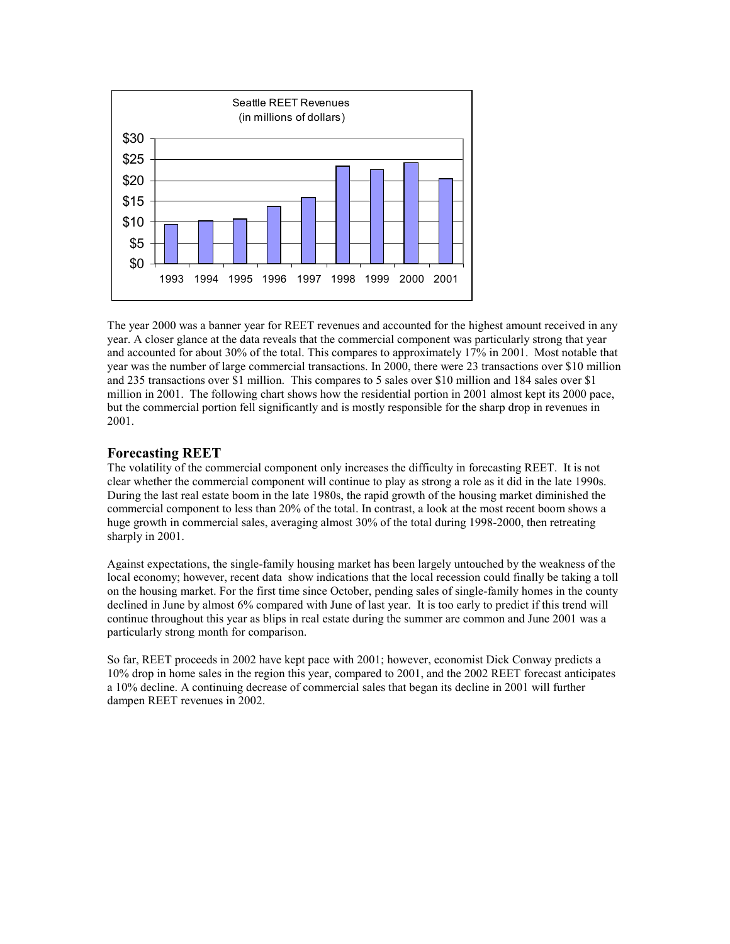

The year 2000 was a banner year for REET revenues and accounted for the highest amount received in any year. A closer glance at the data reveals that the commercial component was particularly strong that year and accounted for about 30% of the total. This compares to approximately 17% in 2001. Most notable that year was the number of large commercial transactions. In 2000, there were 23 transactions over \$10 million and 235 transactions over \$1 million. This compares to 5 sales over \$10 million and 184 sales over \$1 million in 2001. The following chart shows how the residential portion in 2001 almost kept its 2000 pace, but the commercial portion fell significantly and is mostly responsible for the sharp drop in revenues in 2001.

#### **Forecasting REET**

The volatility of the commercial component only increases the difficulty in forecasting REET. It is not clear whether the commercial component will continue to play as strong a role as it did in the late 1990s. During the last real estate boom in the late 1980s, the rapid growth of the housing market diminished the commercial component to less than 20% of the total. In contrast, a look at the most recent boom shows a huge growth in commercial sales, averaging almost 30% of the total during 1998-2000, then retreating sharply in 2001.

Against expectations, the single-family housing market has been largely untouched by the weakness of the local economy; however, recent data show indications that the local recession could finally be taking a toll on the housing market. For the first time since October, pending sales of single-family homes in the county declined in June by almost 6% compared with June of last year. It is too early to predict if this trend will continue throughout this year as blips in real estate during the summer are common and June 2001 was a particularly strong month for comparison.

So far, REET proceeds in 2002 have kept pace with 2001; however, economist Dick Conway predicts a 10% drop in home sales in the region this year, compared to 2001, and the 2002 REET forecast anticipates a 10% decline. A continuing decrease of commercial sales that began its decline in 2001 will further dampen REET revenues in 2002.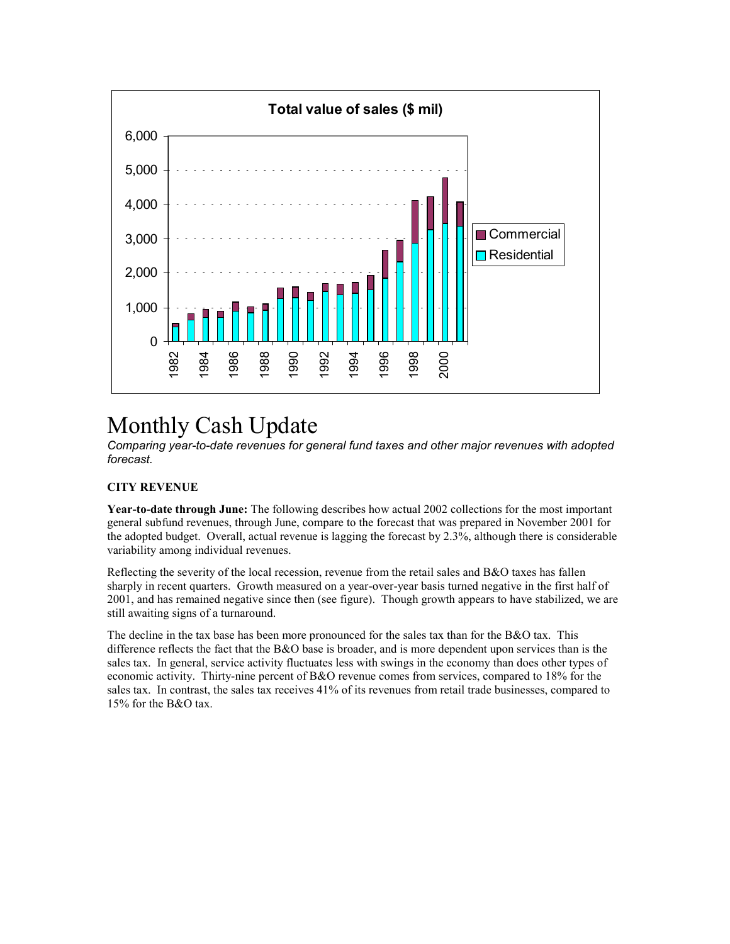

# Monthly Cash Update

*Comparing year-to-date revenues for general fund taxes and other major revenues with adopted forecast.*

#### **CITY REVENUE**

**Year-to-date through June:** The following describes how actual 2002 collections for the most important general subfund revenues, through June, compare to the forecast that was prepared in November 2001 for the adopted budget. Overall, actual revenue is lagging the forecast by 2.3%, although there is considerable variability among individual revenues.

Reflecting the severity of the local recession, revenue from the retail sales and B&O taxes has fallen sharply in recent quarters. Growth measured on a year-over-year basis turned negative in the first half of 2001, and has remained negative since then (see figure). Though growth appears to have stabilized, we are still awaiting signs of a turnaround.

The decline in the tax base has been more pronounced for the sales tax than for the B&O tax. This difference reflects the fact that the B&O base is broader, and is more dependent upon services than is the sales tax. In general, service activity fluctuates less with swings in the economy than does other types of economic activity. Thirty-nine percent of B&O revenue comes from services, compared to 18% for the sales tax. In contrast, the sales tax receives 41% of its revenues from retail trade businesses, compared to 15% for the B&O tax.